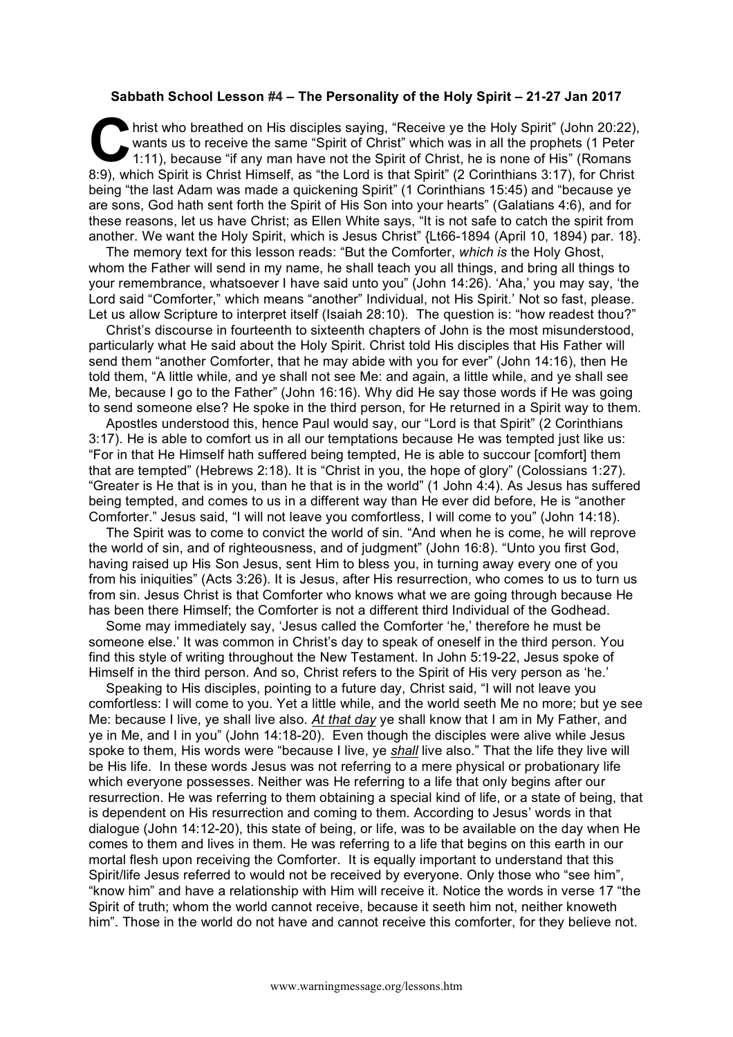## **Sabbath School Lesson #4 – The Personality of the Holy Spirit – 21-27 Jan 2017**

hrist who breathed on His disciples saying, "Receive ye the Holy Spirit" (John 20:22), wants us to receive the same "Spirit of Christ" which was in all the prophets (1 Peter 1:11), because "if any man have not the Spirit of Christ, he is none of His" (Romans 8:9), which Spirit is Christ Himself, as "the Lord is that Spirit" (2 Corinthians 3:17), for Christ being "the last Adam was made a quickening Spirit" (1 Corinthians 15:45) and "because ye are sons, God hath sent forth the Spirit of His Son into your hearts" (Galatians 4:6), and for these reasons, let us have Christ; as Ellen White says, "It is not safe to catch the spirit from another. We want the Holy Spirit, which is Jesus Christ" {Lt66-1894 (April 10, 1894) par. 18}.  $\sum_{\substack{\text{wa}\n\text{min}}}$ 

The memory text for this lesson reads: "But the Comforter, *which is* the Holy Ghost, whom the Father will send in my name, he shall teach you all things, and bring all things to your remembrance, whatsoever I have said unto you" (John 14:26). 'Aha,' you may say, 'the Lord said "Comforter," which means "another" Individual, not His Spirit.' Not so fast, please. Let us allow Scripture to interpret itself (Isaiah 28:10). The question is: "how readest thou?"

Christ's discourse in fourteenth to sixteenth chapters of John is the most misunderstood, particularly what He said about the Holy Spirit. Christ told His disciples that His Father will send them "another Comforter, that he may abide with you for ever" (John 14:16), then He told them, "A little while, and ye shall not see Me: and again, a little while, and ye shall see Me, because I go to the Father" (John 16:16). Why did He say those words if He was going to send someone else? He spoke in the third person, for He returned in a Spirit way to them.

Apostles understood this, hence Paul would say, our "Lord is that Spirit" (2 Corinthians 3:17). He is able to comfort us in all our temptations because He was tempted just like us: "For in that He Himself hath suffered being tempted, He is able to succour [comfort] them that are tempted" (Hebrews 2:18). It is "Christ in you, the hope of glory" (Colossians 1:27). "Greater is He that is in you, than he that is in the world" (1 John 4:4). As Jesus has suffered being tempted, and comes to us in a different way than He ever did before, He is "another Comforter." Jesus said, "I will not leave you comfortless, I will come to you" (John 14:18).

The Spirit was to come to convict the world of sin. "And when he is come, he will reprove the world of sin, and of righteousness, and of judgment" (John 16:8). "Unto you first God, having raised up His Son Jesus, sent Him to bless you, in turning away every one of you from his iniquities" (Acts 3:26). It is Jesus, after His resurrection, who comes to us to turn us from sin. Jesus Christ is that Comforter who knows what we are going through because He has been there Himself; the Comforter is not a different third Individual of the Godhead.

Some may immediately say, 'Jesus called the Comforter 'he,' therefore he must be someone else.' It was common in Christ's day to speak of oneself in the third person. You find this style of writing throughout the New Testament. In John 5:19-22, Jesus spoke of Himself in the third person. And so, Christ refers to the Spirit of His very person as 'he.'

Speaking to His disciples, pointing to a future day, Christ said, "I will not leave you comfortless: I will come to you. Yet a little while, and the world seeth Me no more; but ye see Me: because I live, ye shall live also. *At that day* ye shall know that I am in My Father, and ye in Me, and I in you" (John 14:18-20). Even though the disciples were alive while Jesus spoke to them, His words were "because I live, ye *shall* live also." That the life they live will be His life. In these words Jesus was not referring to a mere physical or probationary life which everyone possesses. Neither was He referring to a life that only begins after our resurrection. He was referring to them obtaining a special kind of life, or a state of being, that is dependent on His resurrection and coming to them. According to Jesus' words in that dialogue (John 14:12-20), this state of being, or life, was to be available on the day when He comes to them and lives in them. He was referring to a life that begins on this earth in our mortal flesh upon receiving the Comforter. It is equally important to understand that this Spirit/life Jesus referred to would not be received by everyone. Only those who "see him", "know him" and have a relationship with Him will receive it. Notice the words in verse 17 "the Spirit of truth; whom the world cannot receive, because it seeth him not, neither knoweth him". Those in the world do not have and cannot receive this comforter, for they believe not.